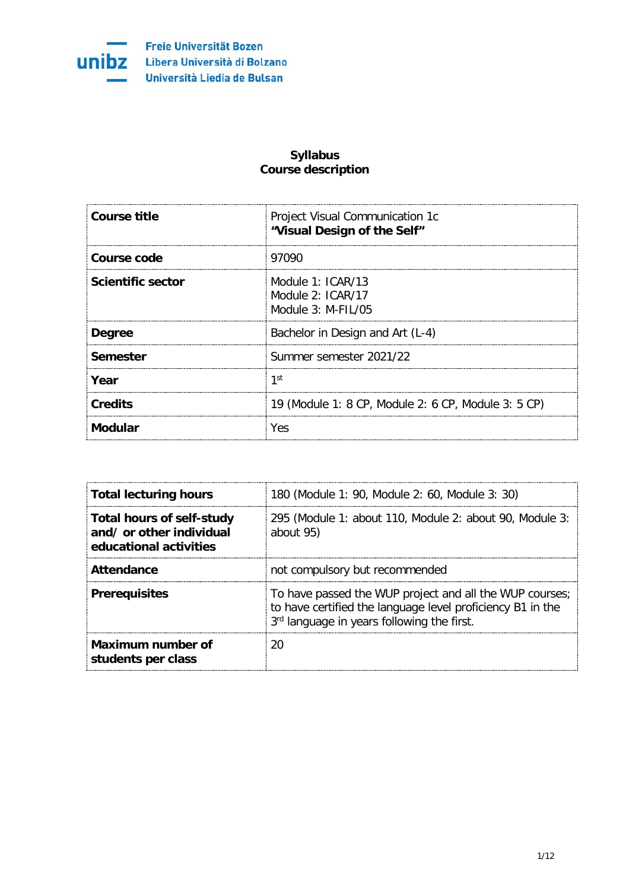

Freie Universität Bozen **Unibz** Libera Università di Bolzano Università Liedia de Bulsan

## **Syllabus Course description**

| <b>Course title</b> | Project Visual Communication 1c<br>"Visual Design of the Self"    |
|---------------------|-------------------------------------------------------------------|
| Course code         | 97090                                                             |
| Scientific sector   | Module $1: ICAR/13$<br>Module $2:ICAR/17$<br>Module $3: M-FII/05$ |
| <b>Degree</b>       | Bachelor in Design and Art (L-4)                                  |
| Semester            | Summer semester 2021/22                                           |
| Year                | 1st                                                               |
| <b>Credits</b>      | 19 (Module 1: 8 CP, Module 2: 6 CP, Module 3: 5 CP)               |
| Modular             | Yes                                                               |

| <b>Total lecturing hours</b>                                                           | 180 (Module 1: 90, Module 2: 60, Module 3: 30)                                                                                                                      |
|----------------------------------------------------------------------------------------|---------------------------------------------------------------------------------------------------------------------------------------------------------------------|
| <b>Total hours of self-study</b><br>and/ or other individual<br>educational activities | 295 (Module 1: about 110, Module 2: about 90, Module 3:<br>about 95)                                                                                                |
| Attendance                                                                             | not compulsory but recommended                                                                                                                                      |
| <b>Prerequisites</b>                                                                   | To have passed the WUP project and all the WUP courses;<br>to have certified the language level proficiency B1 in the<br>3rd language in years following the first. |
| Maximum number of<br>students per class                                                |                                                                                                                                                                     |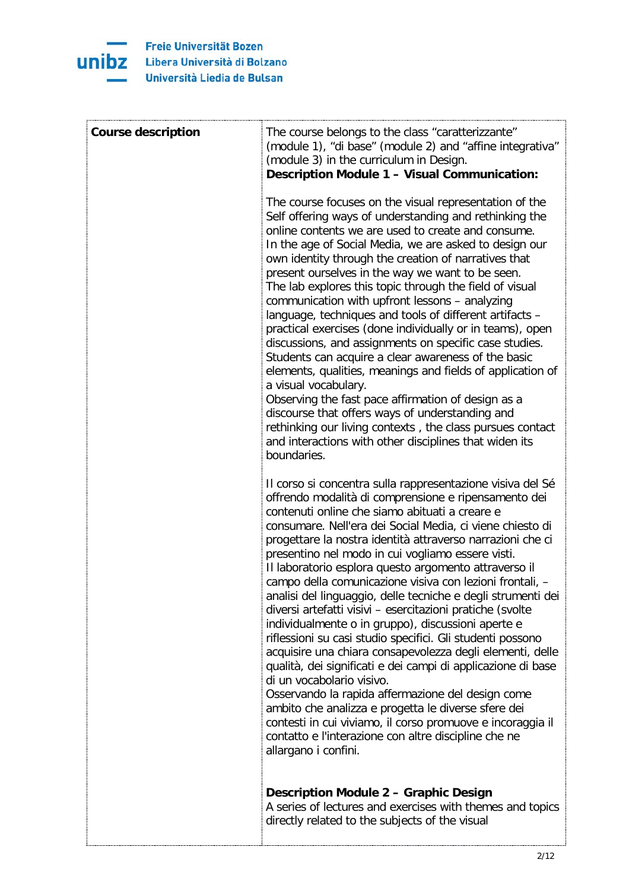

| <b>Course description</b> | The course belongs to the class "caratterizzante"<br>(module 1), "di base" (module 2) and "affine integrativa"<br>(module 3) in the curriculum in Design.<br>Description Module 1 - Visual Communication:                                                                                                                                                                                                                                                                                                                                                                                                                                                                                                                                                                                                                                                                                                                                                                                                                                                                                                                                      |
|---------------------------|------------------------------------------------------------------------------------------------------------------------------------------------------------------------------------------------------------------------------------------------------------------------------------------------------------------------------------------------------------------------------------------------------------------------------------------------------------------------------------------------------------------------------------------------------------------------------------------------------------------------------------------------------------------------------------------------------------------------------------------------------------------------------------------------------------------------------------------------------------------------------------------------------------------------------------------------------------------------------------------------------------------------------------------------------------------------------------------------------------------------------------------------|
|                           | The course focuses on the visual representation of the<br>Self offering ways of understanding and rethinking the<br>online contents we are used to create and consume.<br>In the age of Social Media, we are asked to design our<br>own identity through the creation of narratives that<br>present ourselves in the way we want to be seen.<br>The lab explores this topic through the field of visual<br>communication with upfront lessons - analyzing<br>language, techniques and tools of different artifacts -<br>practical exercises (done individually or in teams), open<br>discussions, and assignments on specific case studies.<br>Students can acquire a clear awareness of the basic<br>elements, qualities, meanings and fields of application of<br>a visual vocabulary.<br>Observing the fast pace affirmation of design as a<br>discourse that offers ways of understanding and<br>rethinking our living contexts, the class pursues contact<br>and interactions with other disciplines that widen its<br>boundaries.                                                                                                        |
|                           | Il corso si concentra sulla rappresentazione visiva del Sé<br>offrendo modalità di comprensione e ripensamento dei<br>contenuti online che siamo abituati a creare e<br>consumare. Nell'era dei Social Media, ci viene chiesto di<br>progettare la nostra identità attraverso narrazioni che ci<br>presentino nel modo in cui vogliamo essere visti.<br>Il laboratorio esplora questo argomento attraverso il<br>campo della comunicazione visiva con lezioni frontali, -<br>analisi del linguaggio, delle tecniche e degli strumenti dei<br>diversi artefatti visivi - esercitazioni pratiche (svolte<br>individualmente o in gruppo), discussioni aperte e<br>riflessioni su casi studio specifici. Gli studenti possono<br>acquisire una chiara consapevolezza degli elementi, delle<br>qualità, dei significati e dei campi di applicazione di base<br>di un vocabolario visivo.<br>Osservando la rapida affermazione del design come<br>ambito che analizza e progetta le diverse sfere dei<br>contesti in cui viviamo, il corso promuove e incoraggia il<br>contatto e l'interazione con altre discipline che ne<br>allargano i confini. |
|                           | <b>Description Module 2 - Graphic Design</b><br>A series of lectures and exercises with themes and topics<br>directly related to the subjects of the visual                                                                                                                                                                                                                                                                                                                                                                                                                                                                                                                                                                                                                                                                                                                                                                                                                                                                                                                                                                                    |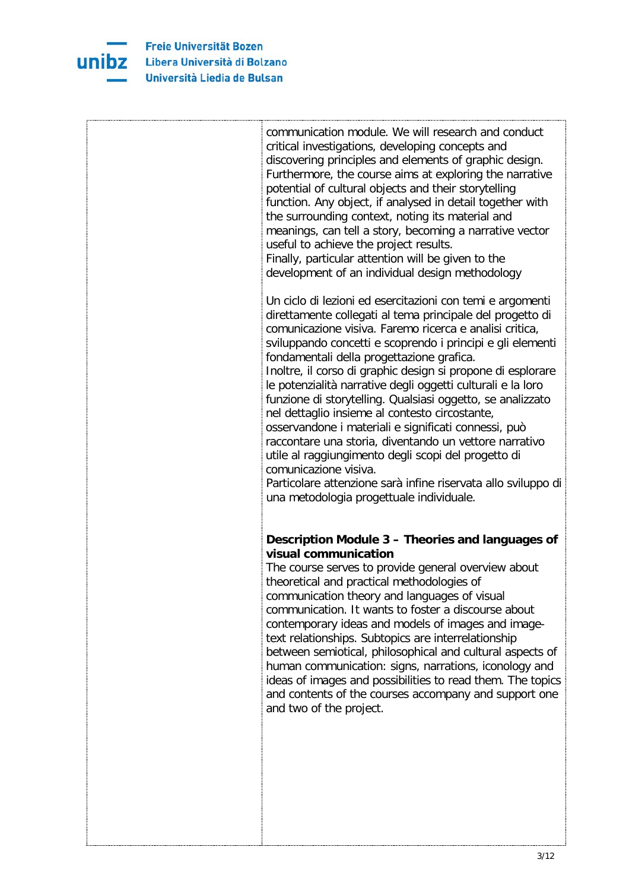

| communication module. We will research and conduct<br>critical investigations, developing concepts and<br>discovering principles and elements of graphic design.<br>Furthermore, the course aims at exploring the narrative<br>potential of cultural objects and their storytelling<br>function. Any object, if analysed in detail together with<br>the surrounding context, noting its material and<br>meanings, can tell a story, becoming a narrative vector<br>useful to achieve the project results.<br>Finally, particular attention will be given to the<br>development of an individual design methodology<br>Un ciclo di lezioni ed esercitazioni con temi e argomenti<br>direttamente collegati al tema principale del progetto di<br>comunicazione visiva. Faremo ricerca e analisi critica,<br>sviluppando concetti e scoprendo i principi e gli elementi<br>fondamentali della progettazione grafica.<br>Inoltre, il corso di graphic design si propone di esplorare<br>le potenzialità narrative degli oggetti culturali e la loro<br>funzione di storytelling. Qualsiasi oggetto, se analizzato<br>nel dettaglio insieme al contesto circostante,<br>osservandone i materiali e significati connessi, può<br>raccontare una storia, diventando un vettore narrativo<br>utile al raggiungimento degli scopi del progetto di<br>comunicazione visiva.<br>Particolare attenzione sarà infine riservata allo sviluppo di<br>una metodologia progettuale individuale. |
|---------------------------------------------------------------------------------------------------------------------------------------------------------------------------------------------------------------------------------------------------------------------------------------------------------------------------------------------------------------------------------------------------------------------------------------------------------------------------------------------------------------------------------------------------------------------------------------------------------------------------------------------------------------------------------------------------------------------------------------------------------------------------------------------------------------------------------------------------------------------------------------------------------------------------------------------------------------------------------------------------------------------------------------------------------------------------------------------------------------------------------------------------------------------------------------------------------------------------------------------------------------------------------------------------------------------------------------------------------------------------------------------------------------------------------------------------------------------------------|
| Description Module 3 - Theories and languages of<br>visual communication<br>The course serves to provide general overview about<br>theoretical and practical methodologies of<br>communication theory and languages of visual<br>communication. It wants to foster a discourse about<br>contemporary ideas and models of images and image-<br>text relationships. Subtopics are interrelationship<br>between semiotical, philosophical and cultural aspects of<br>human communication: signs, narrations, iconology and<br>ideas of images and possibilities to read them. The topics<br>and contents of the courses accompany and support one<br>and two of the project.                                                                                                                                                                                                                                                                                                                                                                                                                                                                                                                                                                                                                                                                                                                                                                                                       |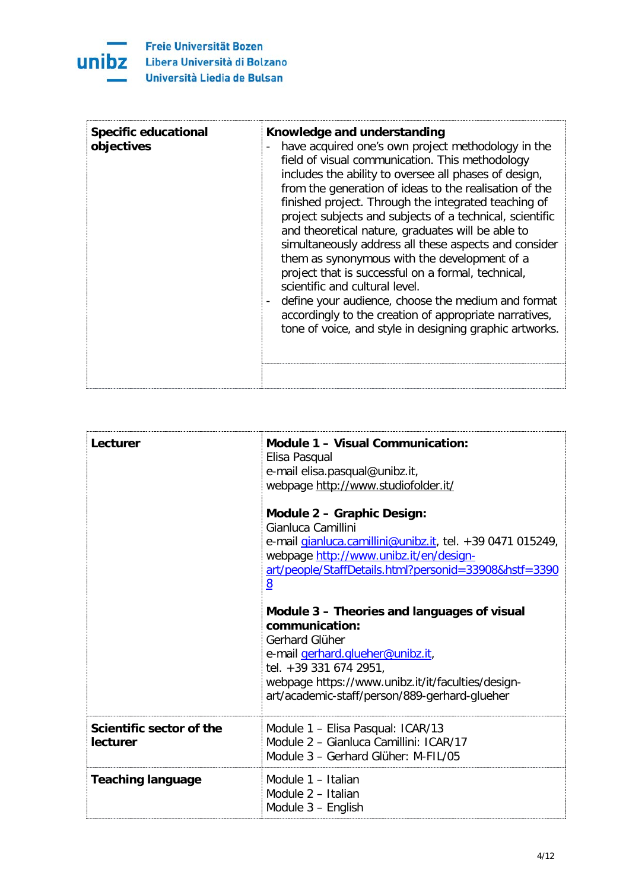

| <b>Specific educational</b><br>objectives | Knowledge and understanding<br>have acquired one's own project methodology in the<br>field of visual communication. This methodology<br>includes the ability to oversee all phases of design,<br>from the generation of ideas to the realisation of the<br>finished project. Through the integrated teaching of<br>project subjects and subjects of a technical, scientific<br>and theoretical nature, graduates will be able to<br>simultaneously address all these aspects and consider<br>them as synonymous with the development of a<br>project that is successful on a formal, technical,<br>scientific and cultural level.<br>define your audience, choose the medium and format<br>accordingly to the creation of appropriate narratives,<br>tone of voice, and style in designing graphic artworks. |
|-------------------------------------------|--------------------------------------------------------------------------------------------------------------------------------------------------------------------------------------------------------------------------------------------------------------------------------------------------------------------------------------------------------------------------------------------------------------------------------------------------------------------------------------------------------------------------------------------------------------------------------------------------------------------------------------------------------------------------------------------------------------------------------------------------------------------------------------------------------------|
|                                           |                                                                                                                                                                                                                                                                                                                                                                                                                                                                                                                                                                                                                                                                                                                                                                                                              |

| Lecturer                             | Module 1 - Visual Communication:<br>Elisa Pasqual<br>e-mail elisa.pasqual@unibz.it,<br>webpage http://www.studiofolder.it/<br>Module 2 - Graphic Design:<br>Gianluca Camillini<br>e-mail gianluca.camillini@unibz.it, tel. +39 0471 015249,<br>webpage http://www.unibz.it/en/design-<br>art/people/StaffDetails.html?personid=33908&hstf=3390<br>8<br>Module 3 - Theories and languages of visual<br>communication:<br>Gerhard Glüher<br>e-mail gerhard.glueher@unibz.it,<br>tel. +39 331 674 2951,<br>webpage https://www.unibz.it/it/faculties/design-<br>art/academic-staff/person/889-gerhard-glueher |
|--------------------------------------|------------------------------------------------------------------------------------------------------------------------------------------------------------------------------------------------------------------------------------------------------------------------------------------------------------------------------------------------------------------------------------------------------------------------------------------------------------------------------------------------------------------------------------------------------------------------------------------------------------|
| Scientific sector of the<br>lecturer | Module 1 - Elisa Pasqual: ICAR/13<br>Module 2 - Gianluca Camillini: ICAR/17<br>Module 3 - Gerhard Glüher: M-FIL/05                                                                                                                                                                                                                                                                                                                                                                                                                                                                                         |
| <b>Teaching language</b>             | Module 1 - Italian<br>Module 2 - Italian<br>Module 3 - English                                                                                                                                                                                                                                                                                                                                                                                                                                                                                                                                             |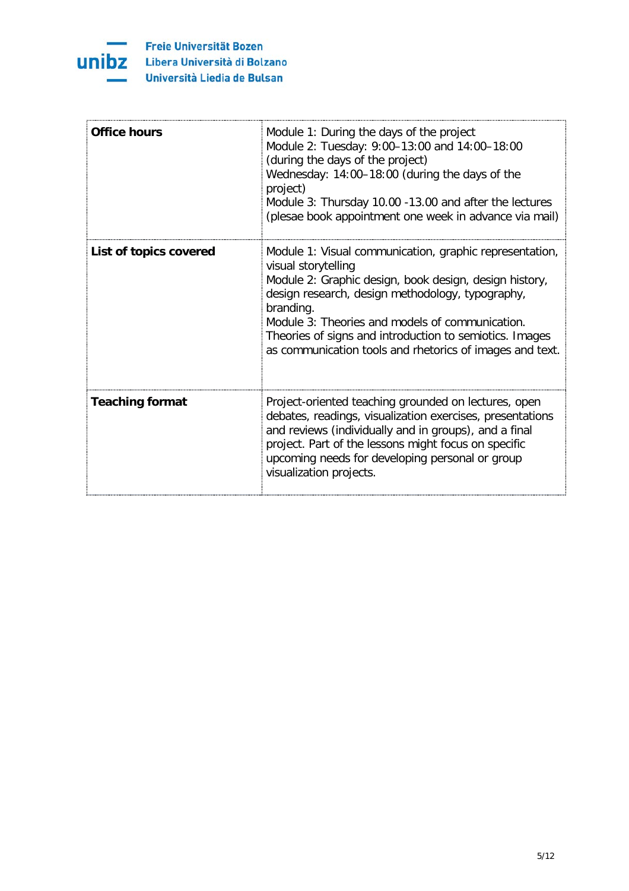

| <b>Office hours</b>    | Module 1: During the days of the project<br>Module 2: Tuesday: 9:00-13:00 and 14:00-18:00<br>(during the days of the project)<br>Wednesday: 14:00-18:00 (during the days of the<br>project)<br>Module 3: Thursday 10.00 -13.00 and after the lectures<br>(plesae book appointment one week in advance via mail)                                                                     |
|------------------------|-------------------------------------------------------------------------------------------------------------------------------------------------------------------------------------------------------------------------------------------------------------------------------------------------------------------------------------------------------------------------------------|
| List of topics covered | Module 1: Visual communication, graphic representation,<br>visual storytelling<br>Module 2: Graphic design, book design, design history,<br>design research, design methodology, typography,<br>branding.<br>Module 3: Theories and models of communication.<br>Theories of signs and introduction to semiotics. Images<br>as communication tools and rhetorics of images and text. |
| <b>Teaching format</b> | Project-oriented teaching grounded on lectures, open<br>debates, readings, visualization exercises, presentations<br>and reviews (individually and in groups), and a final<br>project. Part of the lessons might focus on specific<br>upcoming needs for developing personal or group<br>visualization projects.                                                                    |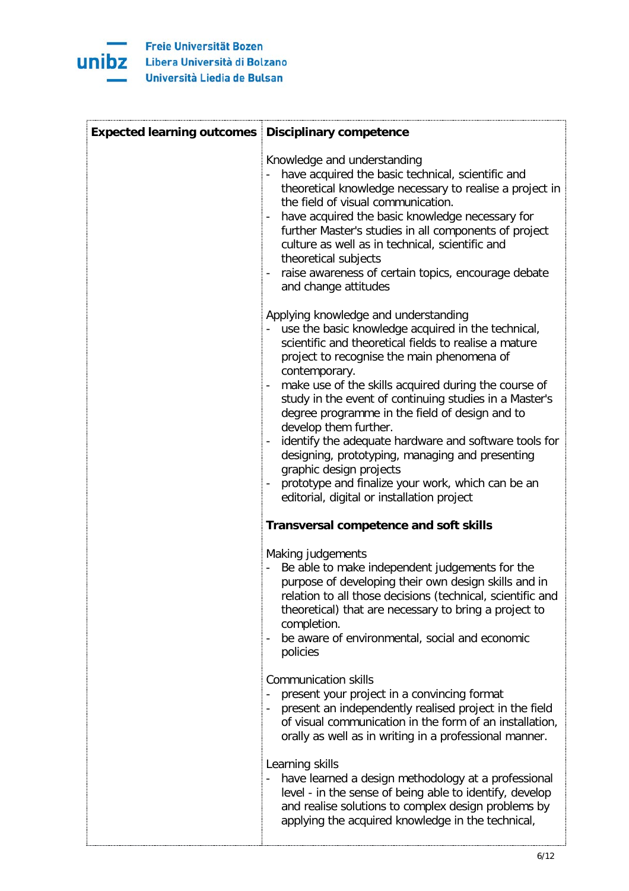

| <b>Expected learning outcomes Disciplinary competence</b> |                                                                                                                                                                                                                                                                                                                                                                                                                                                                                                                                                                                                                                                           |
|-----------------------------------------------------------|-----------------------------------------------------------------------------------------------------------------------------------------------------------------------------------------------------------------------------------------------------------------------------------------------------------------------------------------------------------------------------------------------------------------------------------------------------------------------------------------------------------------------------------------------------------------------------------------------------------------------------------------------------------|
|                                                           | Knowledge and understanding<br>have acquired the basic technical, scientific and<br>theoretical knowledge necessary to realise a project in<br>the field of visual communication.<br>have acquired the basic knowledge necessary for<br>further Master's studies in all components of project<br>culture as well as in technical, scientific and<br>theoretical subjects<br>raise awareness of certain topics, encourage debate<br>and change attitudes                                                                                                                                                                                                   |
|                                                           | Applying knowledge and understanding<br>use the basic knowledge acquired in the technical,<br>scientific and theoretical fields to realise a mature<br>project to recognise the main phenomena of<br>contemporary.<br>make use of the skills acquired during the course of<br>study in the event of continuing studies in a Master's<br>degree programme in the field of design and to<br>develop them further.<br>identify the adequate hardware and software tools for<br>designing, prototyping, managing and presenting<br>graphic design projects<br>prototype and finalize your work, which can be an<br>editorial, digital or installation project |
|                                                           | <b>Transversal competence and soft skills</b>                                                                                                                                                                                                                                                                                                                                                                                                                                                                                                                                                                                                             |
|                                                           | Making judgements<br>Be able to make independent judgements for the<br>purpose of developing their own design skills and in<br>relation to all those decisions (technical, scientific and<br>theoretical) that are necessary to bring a project to<br>completion.<br>be aware of environmental, social and economic<br>policies                                                                                                                                                                                                                                                                                                                           |
|                                                           | <b>Communication skills</b><br>present your project in a convincing format<br>present an independently realised project in the field<br>of visual communication in the form of an installation,<br>orally as well as in writing in a professional manner.                                                                                                                                                                                                                                                                                                                                                                                                 |
|                                                           | Learning skills<br>have learned a design methodology at a professional<br>level - in the sense of being able to identify, develop<br>and realise solutions to complex design problems by<br>applying the acquired knowledge in the technical,                                                                                                                                                                                                                                                                                                                                                                                                             |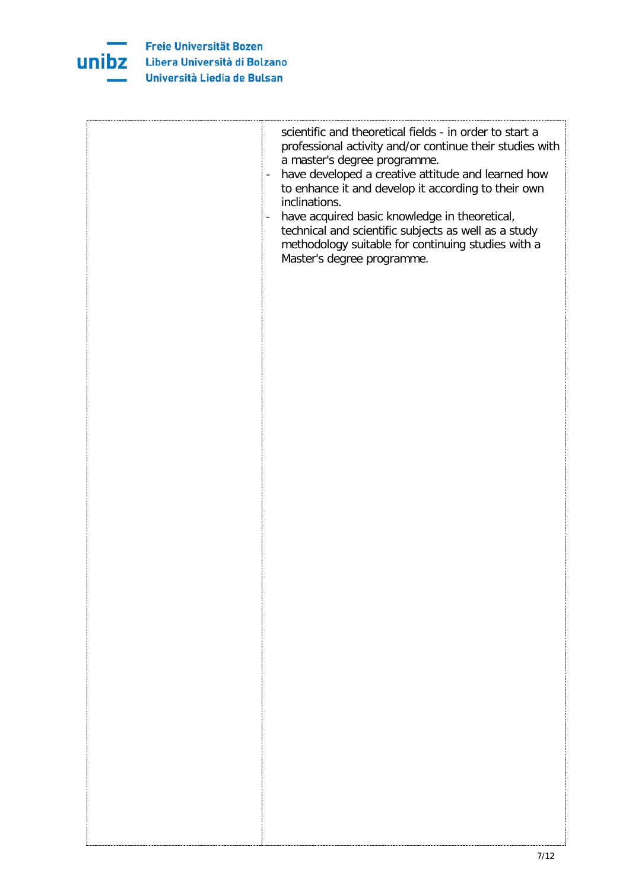

| scientific and theoretical fields - in order to start a<br>professional activity and/or continue their studies with<br>a master's degree programme.<br>have developed a creative attitude and learned how<br>$\overline{\phantom{a}}$<br>to enhance it and develop it according to their own<br>inclinations.<br>have acquired basic knowledge in theoretical,<br>$\overline{\phantom{a}}$<br>technical and scientific subjects as well as a study<br>methodology suitable for continuing studies with a<br>Master's degree programme. |
|----------------------------------------------------------------------------------------------------------------------------------------------------------------------------------------------------------------------------------------------------------------------------------------------------------------------------------------------------------------------------------------------------------------------------------------------------------------------------------------------------------------------------------------|
|                                                                                                                                                                                                                                                                                                                                                                                                                                                                                                                                        |
|                                                                                                                                                                                                                                                                                                                                                                                                                                                                                                                                        |
|                                                                                                                                                                                                                                                                                                                                                                                                                                                                                                                                        |
|                                                                                                                                                                                                                                                                                                                                                                                                                                                                                                                                        |
|                                                                                                                                                                                                                                                                                                                                                                                                                                                                                                                                        |
|                                                                                                                                                                                                                                                                                                                                                                                                                                                                                                                                        |
|                                                                                                                                                                                                                                                                                                                                                                                                                                                                                                                                        |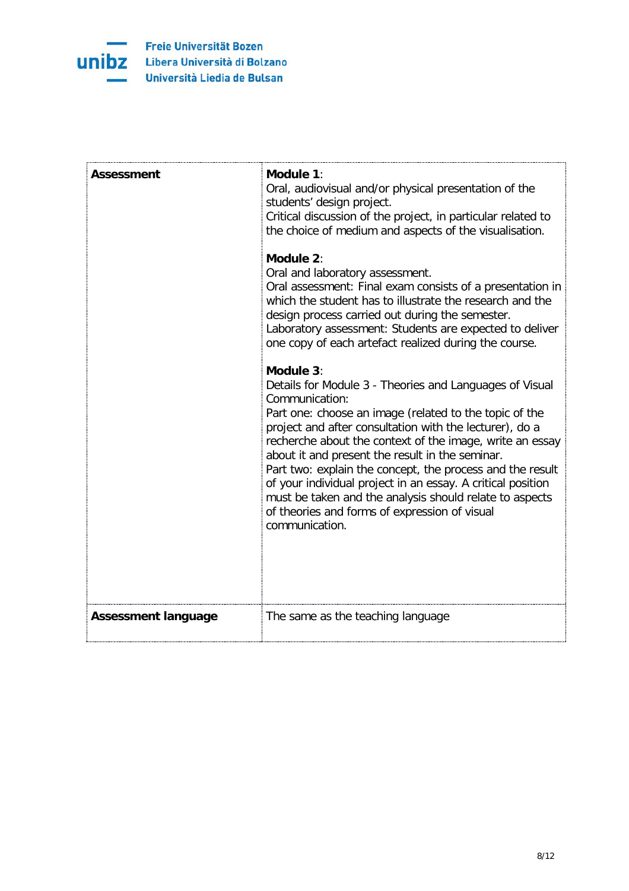

| <b>Assessment</b>          | Module 1:<br>Oral, audiovisual and/or physical presentation of the<br>students' design project.<br>Critical discussion of the project, in particular related to<br>the choice of medium and aspects of the visualisation.<br>Module 2:<br>Oral and laboratory assessment.<br>Oral assessment: Final exam consists of a presentation in<br>which the student has to illustrate the research and the<br>design process carried out during the semester.<br>Laboratory assessment: Students are expected to deliver<br>one copy of each artefact realized during the course.<br>Module 3:<br>Details for Module 3 - Theories and Languages of Visual<br>Communication:<br>Part one: choose an image (related to the topic of the<br>project and after consultation with the lecturer), do a<br>recherche about the context of the image, write an essay<br>about it and present the result in the seminar.<br>Part two: explain the concept, the process and the result<br>of your individual project in an essay. A critical position<br>must be taken and the analysis should relate to aspects<br>of theories and forms of expression of visual<br>communication. |
|----------------------------|-------------------------------------------------------------------------------------------------------------------------------------------------------------------------------------------------------------------------------------------------------------------------------------------------------------------------------------------------------------------------------------------------------------------------------------------------------------------------------------------------------------------------------------------------------------------------------------------------------------------------------------------------------------------------------------------------------------------------------------------------------------------------------------------------------------------------------------------------------------------------------------------------------------------------------------------------------------------------------------------------------------------------------------------------------------------------------------------------------------------------------------------------------------------|
| <b>Assessment language</b> | The same as the teaching language                                                                                                                                                                                                                                                                                                                                                                                                                                                                                                                                                                                                                                                                                                                                                                                                                                                                                                                                                                                                                                                                                                                                 |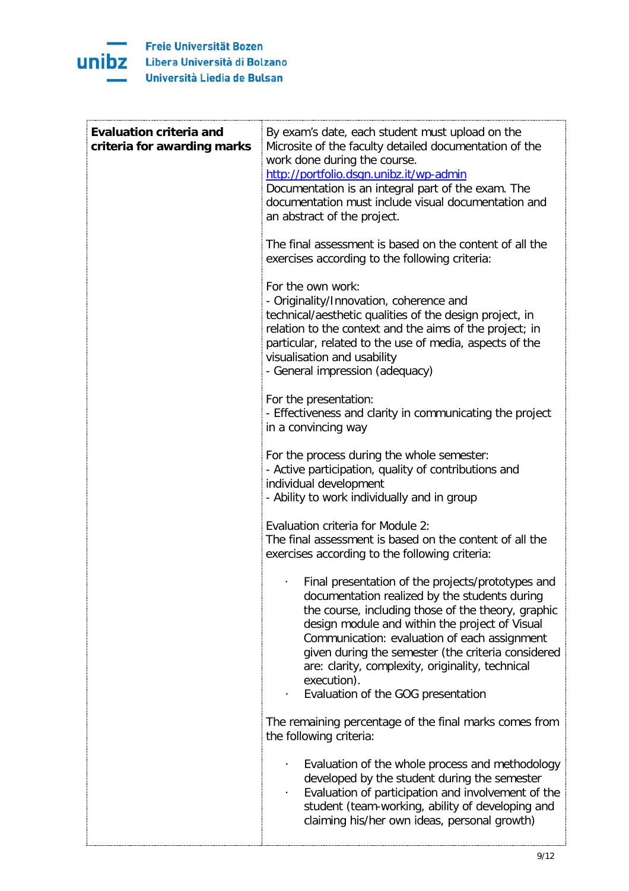

| <b>Evaluation criteria and</b><br>criteria for awarding marks | By exam's date, each student must upload on the<br>Microsite of the faculty detailed documentation of the<br>work done during the course.<br>http://portfolio.dsgn.unibz.it/wp-admin<br>Documentation is an integral part of the exam. The<br>documentation must include visual documentation and<br>an abstract of the project.                                                                                          |
|---------------------------------------------------------------|---------------------------------------------------------------------------------------------------------------------------------------------------------------------------------------------------------------------------------------------------------------------------------------------------------------------------------------------------------------------------------------------------------------------------|
|                                                               | The final assessment is based on the content of all the<br>exercises according to the following criteria:                                                                                                                                                                                                                                                                                                                 |
|                                                               | For the own work:<br>- Originality/Innovation, coherence and<br>technical/aesthetic qualities of the design project, in<br>relation to the context and the aims of the project; in<br>particular, related to the use of media, aspects of the<br>visualisation and usability<br>- General impression (adequacy)                                                                                                           |
|                                                               | For the presentation:<br>- Effectiveness and clarity in communicating the project<br>in a convincing way                                                                                                                                                                                                                                                                                                                  |
|                                                               | For the process during the whole semester:<br>- Active participation, quality of contributions and<br>individual development<br>- Ability to work individually and in group                                                                                                                                                                                                                                               |
|                                                               | Evaluation criteria for Module 2:<br>The final assessment is based on the content of all the<br>exercises according to the following criteria:                                                                                                                                                                                                                                                                            |
|                                                               | Final presentation of the projects/prototypes and<br>documentation realized by the students during<br>the course, including those of the theory, graphic<br>design module and within the project of Visual<br>Communication: evaluation of each assignment<br>given during the semester (the criteria considered<br>are: clarity, complexity, originality, technical<br>execution).<br>Evaluation of the GOG presentation |
|                                                               | The remaining percentage of the final marks comes from<br>the following criteria:                                                                                                                                                                                                                                                                                                                                         |
|                                                               | Evaluation of the whole process and methodology<br>developed by the student during the semester<br>Evaluation of participation and involvement of the<br>student (team-working, ability of developing and<br>claiming his/her own ideas, personal growth)                                                                                                                                                                 |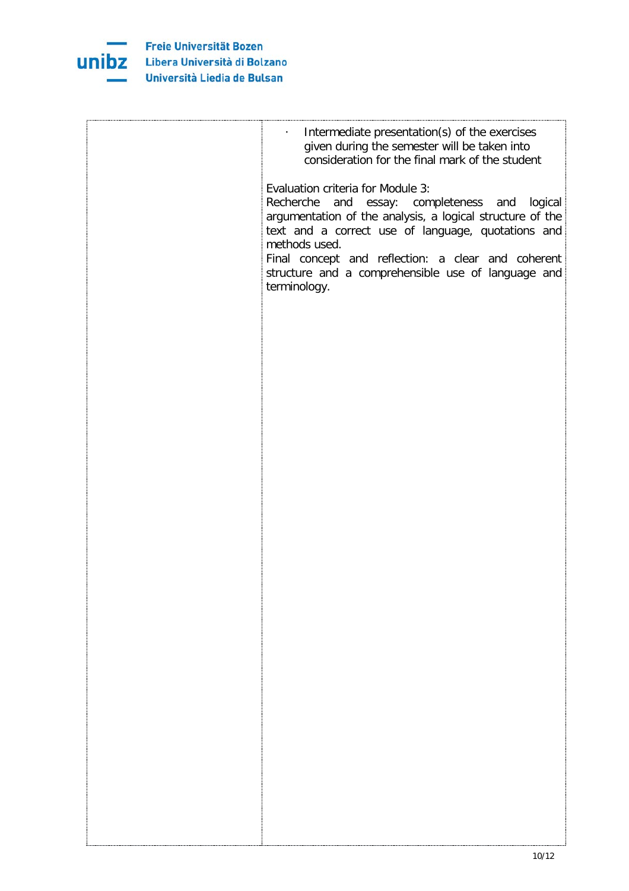

| Intermediate presentation(s) of the exercises<br>$\bullet$<br>given during the semester will be taken into<br>consideration for the final mark of the student                                                                                                                                                                                      |
|----------------------------------------------------------------------------------------------------------------------------------------------------------------------------------------------------------------------------------------------------------------------------------------------------------------------------------------------------|
| Evaluation criteria for Module 3:<br>Recherche and essay: completeness and logical<br>argumentation of the analysis, a logical structure of the<br>text and a correct use of language, quotations and<br>methods used.<br>Final concept and reflection: a clear and coherent<br>structure and a comprehensible use of language and<br>terminology. |
|                                                                                                                                                                                                                                                                                                                                                    |
|                                                                                                                                                                                                                                                                                                                                                    |
|                                                                                                                                                                                                                                                                                                                                                    |
|                                                                                                                                                                                                                                                                                                                                                    |
|                                                                                                                                                                                                                                                                                                                                                    |
|                                                                                                                                                                                                                                                                                                                                                    |
|                                                                                                                                                                                                                                                                                                                                                    |
|                                                                                                                                                                                                                                                                                                                                                    |
|                                                                                                                                                                                                                                                                                                                                                    |
|                                                                                                                                                                                                                                                                                                                                                    |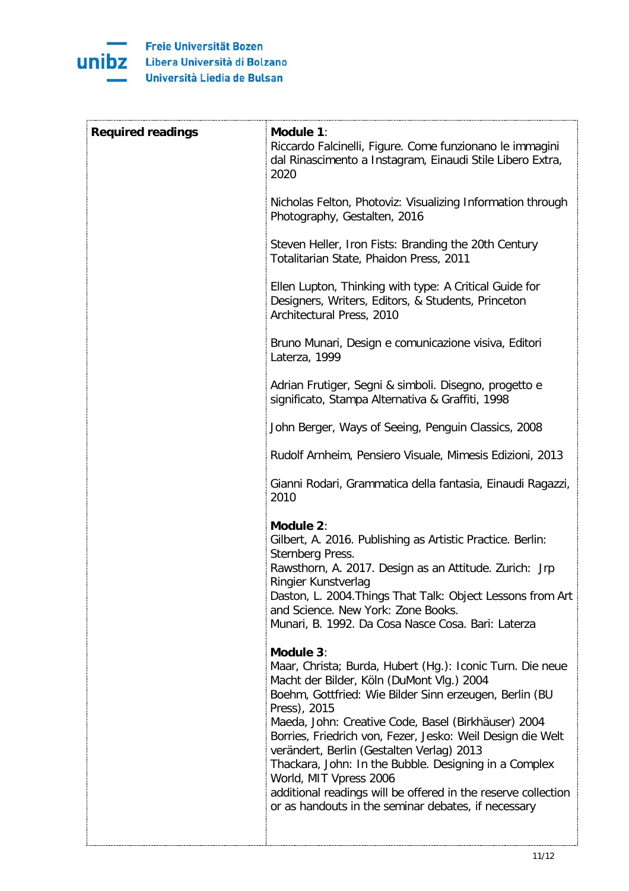

| Module 1:<br>Riccardo Falcinelli, Figure. Come funzionano le immagini<br>dal Rinascimento a Instagram, Einaudi Stile Libero Extra,<br>2020                                                                                                                                                                                                                                                                                                                                                                                                                                 |
|----------------------------------------------------------------------------------------------------------------------------------------------------------------------------------------------------------------------------------------------------------------------------------------------------------------------------------------------------------------------------------------------------------------------------------------------------------------------------------------------------------------------------------------------------------------------------|
| Nicholas Felton, Photoviz: Visualizing Information through<br>Photography, Gestalten, 2016                                                                                                                                                                                                                                                                                                                                                                                                                                                                                 |
| Steven Heller, Iron Fists: Branding the 20th Century<br>Totalitarian State, Phaidon Press, 2011                                                                                                                                                                                                                                                                                                                                                                                                                                                                            |
| Ellen Lupton, Thinking with type: A Critical Guide for<br>Designers, Writers, Editors, & Students, Princeton<br>Architectural Press, 2010                                                                                                                                                                                                                                                                                                                                                                                                                                  |
| Bruno Munari, Design e comunicazione visiva, Editori<br>Laterza, 1999                                                                                                                                                                                                                                                                                                                                                                                                                                                                                                      |
| Adrian Frutiger, Segni & simboli. Disegno, progetto e<br>significato, Stampa Alternativa & Graffiti, 1998                                                                                                                                                                                                                                                                                                                                                                                                                                                                  |
| John Berger, Ways of Seeing, Penguin Classics, 2008                                                                                                                                                                                                                                                                                                                                                                                                                                                                                                                        |
| Rudolf Arnheim, Pensiero Visuale, Mimesis Edizioni, 2013                                                                                                                                                                                                                                                                                                                                                                                                                                                                                                                   |
| Gianni Rodari, Grammatica della fantasia, Einaudi Ragazzi,<br>2010                                                                                                                                                                                                                                                                                                                                                                                                                                                                                                         |
| Module 2:<br>Gilbert, A. 2016. Publishing as Artistic Practice. Berlin:<br>Sternberg Press.<br>Rawsthorn, A. 2017. Design as an Attitude. Zurich: Jrp<br>Ringier Kunstverlag<br>Daston, L. 2004. Things That Talk: Object Lessons from Art<br>and Science. New York: Zone Books.<br>Munari, B. 1992. Da Cosa Nasce Cosa. Bari: Laterza                                                                                                                                                                                                                                     |
| Module 3:<br>Maar, Christa; Burda, Hubert (Hg.): Iconic Turn. Die neue<br>Macht der Bilder, Köln (DuMont Vlg.) 2004<br>Boehm, Gottfried: Wie Bilder Sinn erzeugen, Berlin (BU<br>Press), 2015<br>Maeda, John: Creative Code, Basel (Birkhäuser) 2004<br>Borries, Friedrich von, Fezer, Jesko: Weil Design die Welt<br>verändert, Berlin (Gestalten Verlag) 2013<br>Thackara, John: In the Bubble. Designing in a Complex<br>World, MIT Vpress 2006<br>additional readings will be offered in the reserve collection<br>or as handouts in the seminar debates, if necessary |
|                                                                                                                                                                                                                                                                                                                                                                                                                                                                                                                                                                            |